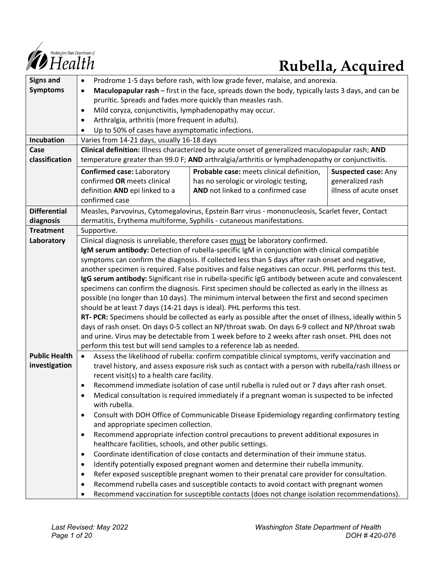

# *Constitue Department of*<br> **Rubella, Acquired**

| <b>Signs and</b>     | Prodrome 1-5 days before rash, with low grade fever, malaise, and anorexia.<br>$\bullet$                                                                                                                     |                                                                                                  |                        |  |
|----------------------|--------------------------------------------------------------------------------------------------------------------------------------------------------------------------------------------------------------|--------------------------------------------------------------------------------------------------|------------------------|--|
| <b>Symptoms</b>      | Maculopapular rash – first in the face, spreads down the body, typically lasts 3 days, and can be<br>$\bullet$                                                                                               |                                                                                                  |                        |  |
|                      | pruritic. Spreads and fades more quickly than measles rash.                                                                                                                                                  |                                                                                                  |                        |  |
|                      | Mild coryza, conjunctivitis, lymphadenopathy may occur.<br>$\bullet$                                                                                                                                         |                                                                                                  |                        |  |
|                      | Arthralgia, arthritis (more frequent in adults).<br>$\bullet$                                                                                                                                                |                                                                                                  |                        |  |
|                      | Up to 50% of cases have asymptomatic infections.                                                                                                                                                             |                                                                                                  |                        |  |
| Incubation           | Varies from 14-21 days, usually 16-18 days                                                                                                                                                                   |                                                                                                  |                        |  |
| Case                 |                                                                                                                                                                                                              | Clinical definition: Illness characterized by acute onset of generalized maculopapular rash; AND |                        |  |
| classification       |                                                                                                                                                                                                              | temperature greater than 99.0 F; AND arthralgia/arthritis or lymphadenopathy or conjunctivitis.  |                        |  |
|                      | <b>Confirmed case: Laboratory</b>                                                                                                                                                                            | Probable case: meets clinical definition,                                                        | Suspected case: Any    |  |
|                      | confirmed OR meets clinical                                                                                                                                                                                  | has no serologic or virologic testing,                                                           | generalized rash       |  |
|                      | definition AND epi linked to a                                                                                                                                                                               | AND not linked to a confirmed case                                                               | illness of acute onset |  |
|                      | confirmed case                                                                                                                                                                                               |                                                                                                  |                        |  |
| <b>Differential</b>  |                                                                                                                                                                                                              | Measles, Parvovirus, Cytomegalovirus, Epstein Barr virus - mononucleosis, Scarlet fever, Contact |                        |  |
| diagnosis            |                                                                                                                                                                                                              | dermatitis, Erythema multiforme, Syphilis - cutaneous manifestations.                            |                        |  |
| <b>Treatment</b>     | Supportive.                                                                                                                                                                                                  |                                                                                                  |                        |  |
| Laboratory           |                                                                                                                                                                                                              | Clinical diagnosis is unreliable, therefore cases must be laboratory confirmed.                  |                        |  |
|                      |                                                                                                                                                                                                              | IgM serum antibody: Detection of rubella-specific IgM in conjunction with clinical compatible    |                        |  |
|                      | symptoms can confirm the diagnosis. If collected less than 5 days after rash onset and negative,                                                                                                             |                                                                                                  |                        |  |
|                      | another specimen is required. False positives and false negatives can occur. PHL performs this test.<br>IgG serum antibody: Significant rise in rubella-specific IgG antibody between acute and convalescent |                                                                                                  |                        |  |
|                      | specimens can confirm the diagnosis. First specimen should be collected as early in the illness as                                                                                                           |                                                                                                  |                        |  |
|                      | possible (no longer than 10 days). The minimum interval between the first and second specimen                                                                                                                |                                                                                                  |                        |  |
|                      | should be at least 7 days (14-21 days is ideal). PHL performs this test.                                                                                                                                     |                                                                                                  |                        |  |
|                      | RT- PCR: Specimens should be collected as early as possible after the onset of illness, ideally within 5                                                                                                     |                                                                                                  |                        |  |
|                      | days of rash onset. On days 0-5 collect an NP/throat swab. On days 6-9 collect and NP/throat swab                                                                                                            |                                                                                                  |                        |  |
|                      | and urine. Virus may be detectable from 1 week before to 2 weeks after rash onset. PHL does not                                                                                                              |                                                                                                  |                        |  |
|                      | perform this test but will send samples to a reference lab as needed.                                                                                                                                        |                                                                                                  |                        |  |
| <b>Public Health</b> | Assess the likelihood of rubella: confirm compatible clinical symptoms, verify vaccination and                                                                                                               |                                                                                                  |                        |  |
| investigation        | travel history, and assess exposure risk such as contact with a person with rubella/rash illness or                                                                                                          |                                                                                                  |                        |  |
|                      | recent visit(s) to a health care facility.                                                                                                                                                                   |                                                                                                  |                        |  |
|                      | Recommend immediate isolation of case until rubella is ruled out or 7 days after rash onset.<br>$\bullet$                                                                                                    |                                                                                                  |                        |  |
|                      | Medical consultation is required immediately if a pregnant woman is suspected to be infected                                                                                                                 |                                                                                                  |                        |  |
|                      | with rubella.                                                                                                                                                                                                |                                                                                                  |                        |  |
|                      | $\bullet$<br>and appropriate specimen collection.                                                                                                                                                            | Consult with DOH Office of Communicable Disease Epidemiology regarding confirmatory testing      |                        |  |
|                      | $\bullet$                                                                                                                                                                                                    |                                                                                                  |                        |  |
|                      | Recommend appropriate infection control precautions to prevent additional exposures in<br>healthcare facilities, schools, and other public settings.                                                         |                                                                                                  |                        |  |
|                      | Coordinate identification of close contacts and determination of their immune status.<br>$\bullet$                                                                                                           |                                                                                                  |                        |  |
|                      | $\bullet$                                                                                                                                                                                                    | Identify potentially exposed pregnant women and determine their rubella immunity.                |                        |  |
|                      | Refer exposed susceptible pregnant women to their prenatal care provider for consultation.<br>$\bullet$                                                                                                      |                                                                                                  |                        |  |
|                      | Recommend rubella cases and susceptible contacts to avoid contact with pregnant women<br>$\bullet$                                                                                                           |                                                                                                  |                        |  |
|                      | $\bullet$                                                                                                                                                                                                    | Recommend vaccination for susceptible contacts (does not change isolation recommendations).      |                        |  |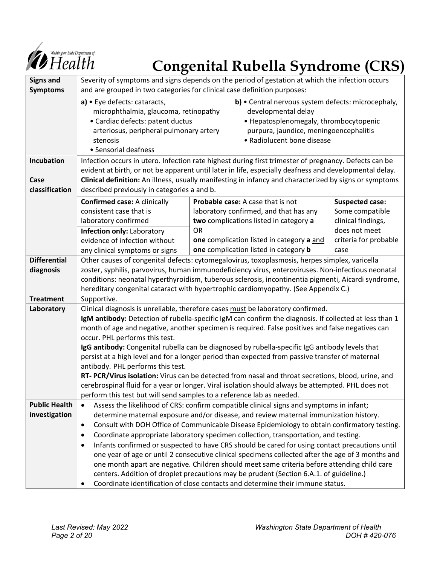

# *Congenital Rubella Syndrome (CRS)*

| <b>Signs and</b>               | Severity of symptoms and signs depends on the period of gestation at which the infection occurs                                                                                                            |           |                                           |                        |
|--------------------------------|------------------------------------------------------------------------------------------------------------------------------------------------------------------------------------------------------------|-----------|-------------------------------------------|------------------------|
| <b>Symptoms</b>                | and are grouped in two categories for clinical case definition purposes:<br>b) • Central nervous system defects: microcephaly,                                                                             |           |                                           |                        |
|                                | a) • Eye defects: cataracts,<br>microphthalmia, glaucoma, retinopathy                                                                                                                                      |           | developmental delay                       |                        |
|                                | · Cardiac defects: patent ductus                                                                                                                                                                           |           | • Hepatosplenomegaly, thrombocytopenic    |                        |
|                                | arteriosus, peripheral pulmonary artery                                                                                                                                                                    |           | purpura, jaundice, meningoencephalitis    |                        |
|                                | stenosis                                                                                                                                                                                                   |           | • Radiolucent bone disease                |                        |
|                                | • Sensorial deafness                                                                                                                                                                                       |           |                                           |                        |
| <b>Incubation</b>              | Infection occurs in utero. Infection rate highest during first trimester of pregnancy. Defects can be                                                                                                      |           |                                           |                        |
|                                | evident at birth, or not be apparent until later in life, especially deafness and developmental delay.                                                                                                     |           |                                           |                        |
| Case<br>classification         | Clinical definition: An illness, usually manifesting in infancy and characterized by signs or symptoms<br>described previously in categories a and b.                                                      |           |                                           |                        |
|                                | <b>Confirmed case: A clinically</b>                                                                                                                                                                        |           | Probable case: A case that is not         | <b>Suspected case:</b> |
|                                | consistent case that is                                                                                                                                                                                    |           | laboratory confirmed, and that has any    | Some compatible        |
|                                | laboratory confirmed                                                                                                                                                                                       |           | two complications listed in category a    | clinical findings,     |
|                                | Infection only: Laboratory                                                                                                                                                                                 | <b>OR</b> |                                           | does not meet          |
|                                | evidence of infection without                                                                                                                                                                              |           | one complication listed in category a and | criteria for probable  |
|                                | any clinical symptoms or signs                                                                                                                                                                             |           | one complication listed in category b     | case                   |
| <b>Differential</b>            | Other causes of congenital defects: cytomegalovirus, toxoplasmosis, herpes simplex, varicella                                                                                                              |           |                                           |                        |
| diagnosis                      | zoster, syphilis, parvovirus, human immunodeficiency virus, enteroviruses. Non-infectious neonatal                                                                                                         |           |                                           |                        |
|                                | conditions: neonatal hyperthyroidism, tuberous sclerosis, incontinentia pigmenti, Aicardi syndrome,                                                                                                        |           |                                           |                        |
|                                | hereditary congenital cataract with hypertrophic cardiomyopathy. (See Appendix C.)                                                                                                                         |           |                                           |                        |
| <b>Treatment</b><br>Laboratory | Supportive.<br>Clinical diagnosis is unreliable, therefore cases must be laboratory confirmed.                                                                                                             |           |                                           |                        |
|                                |                                                                                                                                                                                                            |           |                                           |                        |
|                                | IgM antibody: Detection of rubella-specific IgM can confirm the diagnosis. If collected at less than 1<br>month of age and negative, another specimen is required. False positives and false negatives can |           |                                           |                        |
|                                | occur. PHL performs this test.                                                                                                                                                                             |           |                                           |                        |
|                                | IgG antibody: Congenital rubella can be diagnosed by rubella-specific IgG antibody levels that                                                                                                             |           |                                           |                        |
|                                | persist at a high level and for a longer period than expected from passive transfer of maternal                                                                                                            |           |                                           |                        |
|                                | antibody. PHL performs this test.                                                                                                                                                                          |           |                                           |                        |
|                                | RT- PCR/Virus isolation: Virus can be detected from nasal and throat secretions, blood, urine, and                                                                                                         |           |                                           |                        |
|                                | cerebrospinal fluid for a year or longer. Viral isolation should always be attempted. PHL does not<br>perform this test but will send samples to a reference lab as needed.                                |           |                                           |                        |
| <b>Public Health</b>           | Assess the likelihood of CRS: confirm compatible clinical signs and symptoms in infant;<br>$\bullet$                                                                                                       |           |                                           |                        |
| investigation                  | determine maternal exposure and/or disease, and review maternal immunization history.                                                                                                                      |           |                                           |                        |
|                                | Consult with DOH Office of Communicable Disease Epidemiology to obtain confirmatory testing.<br>$\bullet$                                                                                                  |           |                                           |                        |
|                                | Coordinate appropriate laboratory specimen collection, transportation, and testing.<br>٠                                                                                                                   |           |                                           |                        |
|                                | Infants confirmed or suspected to have CRS should be cared for using contact precautions until<br>$\bullet$                                                                                                |           |                                           |                        |
|                                | one year of age or until 2 consecutive clinical specimens collected after the age of 3 months and                                                                                                          |           |                                           |                        |
|                                | one month apart are negative. Children should meet same criteria before attending child care                                                                                                               |           |                                           |                        |
|                                | centers. Addition of droplet precautions may be prudent (Section 6.A.1. of guideline.)                                                                                                                     |           |                                           |                        |
|                                | Coordinate identification of close contacts and determine their immune status.<br>٠                                                                                                                        |           |                                           |                        |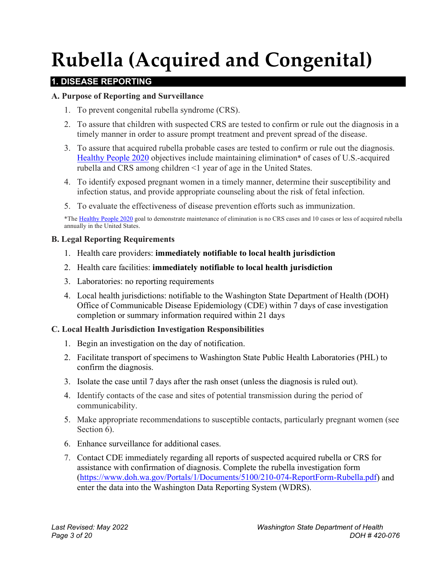# **Rubella (Acquired and Congenital)**

# **1. DISEASE REPORTING**

#### **A. Purpose of Reporting and Surveillance**

- 1. To prevent congenital rubella syndrome (CRS).
- 2. To assure that children with suspected CRS are tested to confirm or rule out the diagnosis in a timely manner in order to assure prompt treatment and prevent spread of the disease.
- 3. To assure that acquired rubella probable cases are tested to confirm or rule out the diagnosis. [Healthy People 2020](https://www.healthypeople.gov/2020/topics-objectives/topic/immunization-and-infectious-diseases/objectives) objectives include maintaining elimination\* of cases of U.S.-acquired rubella and CRS among children <1 year of age in the United States.
- 4. To identify exposed pregnant women in a timely manner, determine their susceptibility and infection status, and provide appropriate counseling about the risk of fetal infection.
- 5. To evaluate the effectiveness of disease prevention efforts such as immunization.

\*Th[e Healthy People 2020](https://www.healthypeople.gov/2020/topics-objectives/topic/immunization-and-infectious-diseases/objectives) goal to demonstrate maintenance of elimination is no CRS cases and 10 cases or less of acquired rubella annually in the United States.

#### **B. Legal Reporting Requirements**

- 1. Health care providers: **immediately notifiable to local health jurisdiction**
- 2. Health care facilities: **immediately notifiable to local health jurisdiction**
- 3. Laboratories: no reporting requirements
- 4. Local health jurisdictions: notifiable to the Washington State Department of Health (DOH) Office of Communicable Disease Epidemiology (CDE) within 7 days of case investigation completion or summary information required within 21 days

#### **C. Local Health Jurisdiction Investigation Responsibilities**

- 1. Begin an investigation on the day of notification.
- 2. Facilitate transport of specimens to Washington State Public Health Laboratories (PHL) to confirm the diagnosis.
- 3. Isolate the case until 7 days after the rash onset (unless the diagnosis is ruled out).
- 4. Identify contacts of the case and sites of potential transmission during the period of communicability.
- 5. Make appropriate recommendations to susceptible contacts, particularly pregnant women (see Section 6).
- 6. Enhance surveillance for additional cases.
- 7. Contact CDE immediately regarding all reports of suspected acquired rubella or CRS for assistance with confirmation of diagnosis. Complete the rubella investigation form [\(https://www.doh.wa.gov/Portals/1/Documents/5100/210-074-ReportForm-Rubella.pdf\)](https://www.doh.wa.gov/Portals/1/Documents/5100/210-074-ReportForm-Rubella.pdf) and enter the data into the Washington Data Reporting System (WDRS).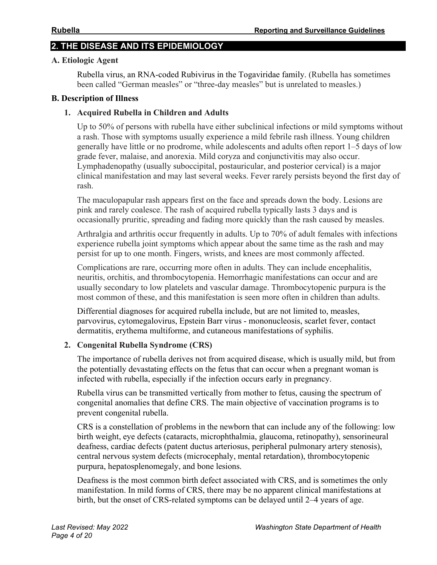## **2. THE DISEASE AND ITS EPIDEMIOLOGY**

#### **A. Etiologic Agent**

Rubella virus, an RNA-coded Rubivirus in the Togaviridae family. (Rubella has sometimes been called "German measles" or "three-day measles" but is unrelated to measles.)

#### **B. Description of Illness**

#### **1. Acquired Rubella in Children and Adults**

Up to 50% of persons with rubella have either subclinical infections or mild symptoms without a rash. Those with symptoms usually experience a mild febrile rash illness. Young children generally have little or no prodrome, while adolescents and adults often report 1–5 days of low grade fever, malaise, and anorexia. Mild coryza and conjunctivitis may also occur. Lymphadenopathy (usually suboccipital, postauricular, and posterior cervical) is a major clinical manifestation and may last several weeks. Fever rarely persists beyond the first day of rash.

The maculopapular rash appears first on the face and spreads down the body. Lesions are pink and rarely coalesce. The rash of acquired rubella typically lasts 3 days and is occasionally pruritic, spreading and fading more quickly than the rash caused by measles.

Arthralgia and arthritis occur frequently in adults. Up to 70% of adult females with infections experience rubella joint symptoms which appear about the same time as the rash and may persist for up to one month. Fingers, wrists, and knees are most commonly affected.

Complications are rare, occurring more often in adults. They can include encephalitis, neuritis, orchitis, and thrombocytopenia. Hemorrhagic manifestations can occur and are usually secondary to low platelets and vascular damage. Thrombocytopenic purpura is the most common of these, and this manifestation is seen more often in children than adults.

Differential diagnoses for acquired rubella include, but are not limited to, measles, parvovirus, cytomegalovirus, Epstein Barr virus - mononucleosis, scarlet fever, contact dermatitis, erythema multiforme, and cutaneous manifestations of syphilis.

#### **2. Congenital Rubella Syndrome (CRS)**

The importance of rubella derives not from acquired disease, which is usually mild, but from the potentially devastating effects on the fetus that can occur when a pregnant woman is infected with rubella, especially if the infection occurs early in pregnancy.

Rubella virus can be transmitted vertically from mother to fetus, causing the spectrum of congenital anomalies that define CRS. The main objective of vaccination programs is to prevent congenital rubella.

CRS is a constellation of problems in the newborn that can include any of the following: low birth weight, eye defects (cataracts, microphthalmia, glaucoma, retinopathy), sensorineural deafness, cardiac defects (patent ductus arteriosus, peripheral pulmonary artery stenosis), central nervous system defects (microcephaly, mental retardation), thrombocytopenic purpura, hepatosplenomegaly, and bone lesions.

Deafness is the most common birth defect associated with CRS, and is sometimes the only manifestation. In mild forms of CRS, there may be no apparent clinical manifestations at birth, but the onset of CRS-related symptoms can be delayed until 2–4 years of age.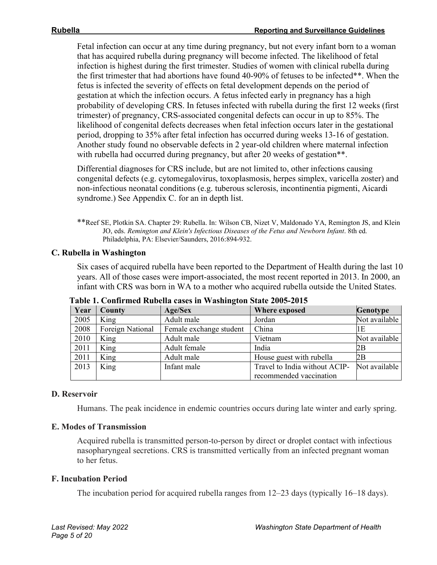Fetal infection can occur at any time during pregnancy, but not every infant born to a woman that has acquired rubella during pregnancy will become infected. The likelihood of fetal infection is highest during the first trimester. Studies of women with clinical rubella during the first trimester that had abortions have found 40-90% of fetuses to be infected\*\*. When the fetus is infected the severity of effects on fetal development depends on the period of gestation at which the infection occurs. A fetus infected early in pregnancy has a high probability of developing CRS. In fetuses infected with rubella during the first 12 weeks (first trimester) of pregnancy, CRS-associated congenital defects can occur in up to 85%. The likelihood of congenital defects decreases when fetal infection occurs later in the gestational period, dropping to 35% after fetal infection has occurred during weeks 13-16 of gestation. Another study found no observable defects in 2 year-old children where maternal infection with rubella had occurred during pregnancy, but after 20 weeks of gestation\*\*.

Differential diagnoses for CRS include, but are not limited to, other infections causing congenital defects (e.g. cytomegalovirus, toxoplasmosis, herpes simplex, varicella zoster) and non-infectious neonatal conditions (e.g. tuberous sclerosis, incontinentia pigmenti, Aicardi syndrome.) See Appendix C. for an in depth list.

\*\*Reef SE, Plotkin SA. Chapter 29: Rubella. In: Wilson CB, Nizet V, Maldonado YA, Remington JS, and Klein JO, eds. *Remington and Klein's Infectious Diseases of the Fetus and Newborn Infant*. 8th ed. Philadelphia, PA: Elsevier/Saunders, 2016:894-932.

#### **C. Rubella in Washington**

Six cases of acquired rubella have been reported to the Department of Health during the last 10 years. All of those cases were import-associated, the most recent reported in 2013. In 2000, an infant with CRS was born in WA to a mother who acquired rubella outside the United States.

| Year | County           | -<br>Age/Sex            | Where exposed                 | Genotype      |
|------|------------------|-------------------------|-------------------------------|---------------|
| 2005 | King             | Adult male              | Jordan                        | Not available |
| 2008 | Foreign National | Female exchange student | China                         | 1E            |
| 2010 | King             | Adult male              | Vietnam                       | Not available |
| 2011 | King             | Adult female            | India                         | 2В            |
| 2011 | King             | Adult male              | House guest with rubella      | 2Β            |
| 2013 | King             | Infant male             | Travel to India without ACIP- | Not available |
|      |                  |                         | recommended vaccination       |               |

**Table 1. Confirmed Rubella cases in Washington State 2005-2015** 

#### **D. Reservoir**

Humans. The peak incidence in endemic countries occurs during late winter and early spring.

#### **E. Modes of Transmission**

Acquired rubella is transmitted person-to-person by direct or droplet contact with infectious nasopharyngeal secretions. CRS is transmitted vertically from an infected pregnant woman to her fetus.

#### **F. Incubation Period**

The incubation period for acquired rubella ranges from 12–23 days (typically 16–18 days).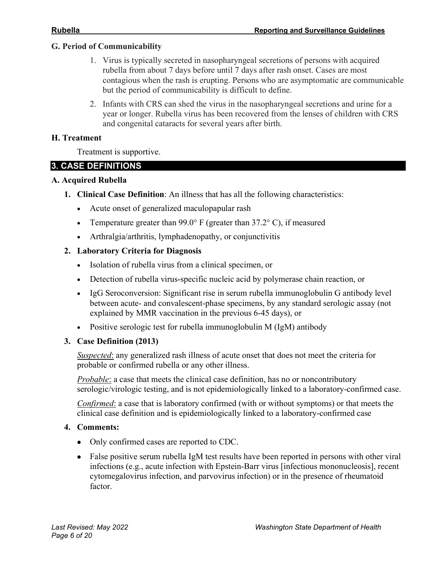#### **G. Period of Communicability**

- 1. Virus is typically secreted in nasopharyngeal secretions of persons with acquired rubella from about 7 days before until 7 days after rash onset. Cases are most contagious when the rash is erupting. Persons who are asymptomatic are communicable but the period of communicability is difficult to define.
- 2. Infants with CRS can shed the virus in the nasopharyngeal secretions and urine for a year or longer. Rubella virus has been recovered from the lenses of children with CRS and congenital cataracts for several years after birth.

#### **H. Treatment**

Treatment is supportive.

#### **3. CASE DEFINITIONS**

#### **A. Acquired Rubella**

- **1. Clinical Case Definition**: An illness that has all the following characteristics:
	- Acute onset of generalized maculopapular rash
	- Temperature greater than 99.0° F (greater than  $37.2$ °C), if measured
	- Arthralgia/arthritis, lymphadenopathy, or conjunctivitis

#### **2. Laboratory Criteria for Diagnosis**

- Isolation of rubella virus from a clinical specimen, or
- Detection of rubella virus-specific nucleic acid by polymerase chain reaction, or
- IgG Seroconversion: Significant rise in serum rubella immunoglobulin G antibody level between acute- and convalescent-phase specimens, by any standard serologic assay (not explained by MMR vaccination in the previous 6-45 days), or
- Positive serologic test for rubella immunoglobulin M (IgM) antibody

#### **3. Case Definition (2013)**

*Suspected*: any generalized rash illness of acute onset that does not meet the criteria for probable or confirmed rubella or any other illness.

*Probable*: a case that meets the clinical case definition, has no or noncontributory serologic/virologic testing, and is not epidemiologically linked to a laboratory-confirmed case.

*Confirmed*: a case that is laboratory confirmed (with or without symptoms) or that meets the clinical case definition and is epidemiologically linked to a laboratory-confirmed case

#### **4. Comments:**

- Only confirmed cases are reported to CDC.
- False positive serum rubella IgM test results have been reported in persons with other viral infections (e.g., acute infection with Epstein-Barr virus [infectious mononucleosis], recent cytomegalovirus infection, and parvovirus infection) or in the presence of rheumatoid factor.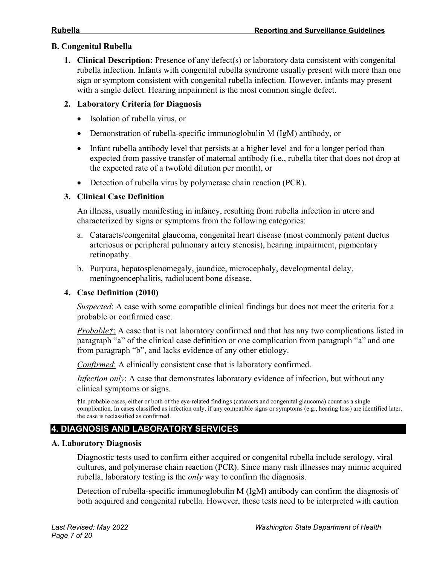## **B. Congenital Rubella**

**1. Clinical Description:** Presence of any defect(s) or laboratory data consistent with congenital rubella infection. Infants with congenital rubella syndrome usually present with more than one sign or symptom consistent with congenital rubella infection. However, infants may present with a single defect. Hearing impairment is the most common single defect.

## **2. Laboratory Criteria for Diagnosis**

- Isolation of rubella virus, or
- Demonstration of rubella-specific immunoglobulin M (IgM) antibody, or
- Infant rubella antibody level that persists at a higher level and for a longer period than expected from passive transfer of maternal antibody (i.e., rubella titer that does not drop at the expected rate of a twofold dilution per month), or
- Detection of rubella virus by polymerase chain reaction (PCR).

# **3. Clinical Case Definition**

An illness, usually manifesting in infancy, resulting from rubella infection in utero and characterized by signs or symptoms from the following categories:

- a. Cataracts/congenital glaucoma, congenital heart disease (most commonly patent ductus arteriosus or peripheral pulmonary artery stenosis), hearing impairment, pigmentary retinopathy.
- b. Purpura, hepatosplenomegaly, jaundice, microcephaly, developmental delay, meningoencephalitis, radiolucent bone disease.

## **4. Case Definition (2010)**

*Suspected*: A case with some compatible clinical findings but does not meet the criteria for a probable or confirmed case.

*Probable†*: A case that is not laboratory confirmed and that has any two complications listed in paragraph "a" of the clinical case definition or one complication from paragraph "a" and one from paragraph "b", and lacks evidence of any other etiology.

*Confirmed*: A clinically consistent case that is laboratory confirmed.

*Infection only*: A case that demonstrates laboratory evidence of infection, but without any clinical symptoms or signs.

†In probable cases, either or both of the eye-related findings (cataracts and congenital glaucoma) count as a single complication. In cases classified as infection only, if any compatible signs or symptoms (e.g., hearing loss) are identified later, the case is reclassified as confirmed.

# **4. DIAGNOSIS AND LABORATORY SERVICES**

## **A. Laboratory Diagnosis**

Diagnostic tests used to confirm either acquired or congenital rubella include serology, viral cultures, and polymerase chain reaction (PCR). Since many rash illnesses may mimic acquired rubella, laboratory testing is the *only* way to confirm the diagnosis.

Detection of rubella-specific immunoglobulin M (IgM) antibody can confirm the diagnosis of both acquired and congenital rubella. However, these tests need to be interpreted with caution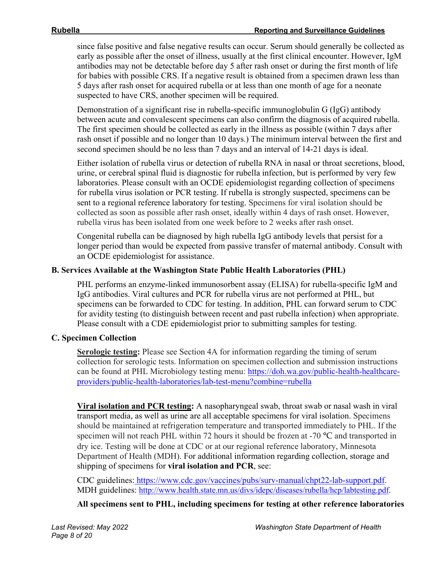since false positive and false negative results can occur. Serum should generally be collected as early as possible after the onset of illness, usually at the first clinical encounter. However, IgM antibodies may not be detectable before day 5 after rash onset or during the first month of life for babies with possible CRS. If a negative result is obtained from a specimen drawn less than 5 days after rash onset for acquired rubella or at less than one month of age for a neonate suspected to have CRS, another specimen will be required.

Demonstration of a significant rise in rubella-specific immunoglobulin G (IgG) antibody between acute and convalescent specimens can also confirm the diagnosis of acquired rubella. The first specimen should be collected as early in the illness as possible (within 7 days after rash onset if possible and no longer than 10 days.) The minimum interval between the first and second specimen should be no less than 7 days and an interval of 14-21 days is ideal.

Either isolation of rubella virus or detection of rubella RNA in nasal or throat secretions, blood, urine, or cerebral spinal fluid is diagnostic for rubella infection, but is performed by very few laboratories. Please consult with an OCDE epidemiologist regarding collection of specimens for rubella virus isolation or PCR testing. If rubella is strongly suspected, specimens can be sent to a regional reference laboratory for testing. Specimens for viral isolation should be collected as soon as possible after rash onset, ideally within 4 days of rash onset. However, rubella virus has been isolated from one week before to 2 weeks after rash onset.

Congenital rubella can be diagnosed by high rubella IgG antibody levels that persist for a longer period than would be expected from passive transfer of maternal antibody. Consult with an OCDE epidemiologist for assistance.

#### **B. Services Available at the Washington State Public Health Laboratories (PHL)**

PHL performs an enzyme-linked immunosorbent assay (ELISA) for rubella-specific IgM and IgG antibodies. Viral cultures and PCR for rubella virus are not performed at PHL, but specimens can be forwarded to CDC for testing. In addition, PHL can forward serum to CDC for avidity testing (to distinguish between recent and past rubella infection) when appropriate. Please consult with a CDE epidemiologist prior to submitting samples for testing.

#### **C. Specimen Collection**

**Serologic testing:** Please see Section 4A for information regarding the timing of serum collection for serologic tests. Information on specimen collection and submission instructions can be found at PHL Microbiology testing menu: [https://doh.wa.gov/public-health-healthcare](https://doh.wa.gov/public-health-healthcare-providers/public-health-laboratories/lab-test-menu?combine=rubella)[providers/public-health-laboratories/lab-test-menu?combine=rubella](https://doh.wa.gov/public-health-healthcare-providers/public-health-laboratories/lab-test-menu?combine=rubella) 

**Viral isolation and PCR testing:** A nasopharyngeal swab, throat swab or nasal wash in viral transport media, as well as urine are all acceptable specimens for viral isolation. Specimens should be maintained at refrigeration temperature and transported immediately to PHL. If the specimen will not reach PHL within 72 hours it should be frozen at -70 °C and transported in dry ice. Testing will be done at CDC or at our regional reference laboratory, Minnesota Department of Health (MDH). For additional information regarding collection, storage and shipping of specimens for **viral isolation and PCR**, see:

CDC guidelines[: https://www.cdc.gov/vaccines/pubs/surv-manual/chpt22-lab-support.pdf.](https://www.cdc.gov/vaccines/pubs/surv-manual/chpt22-lab-support.pdf) MDH guidelines: [http://www.health.state.mn.us/divs/idepc/diseases/rubella/hcp/labtesting.pdf.](http://www.health.state.mn.us/divs/idepc/diseases/rubella/hcp/labtesting.pdf)

**All specimens sent to PHL, including specimens for testing at other reference laboratories**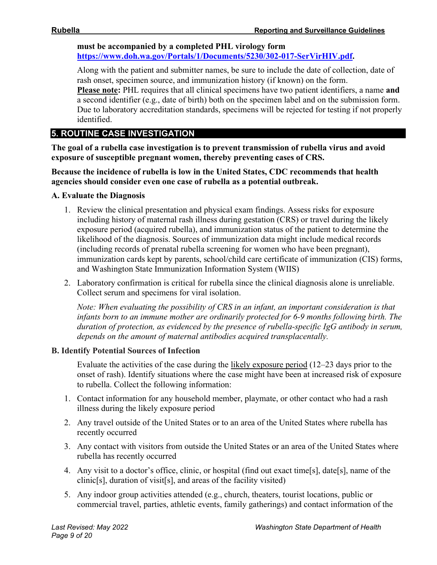**must be accompanied by a completed PHL virology form [https://www.doh.wa.gov/Portals/1/Documents/5230/302-017-SerVirHIV.pdf.](https://www.doh.wa.gov/Portals/1/Documents/5230/302-017-SerVirHIV.pdf)**

Along with the patient and submitter names, be sure to include the date of collection, date of rash onset, specimen source, and immunization history (if known) on the form. **Please note:** PHL requires that all clinical specimens have two patient identifiers, a name **and**  a second identifier (e.g., date of birth) both on the specimen label and on the submission form. Due to laboratory accreditation standards, specimens will be rejected for testing if not properly identified.

# **5. ROUTINE CASE INVESTIGATION**

**The goal of a rubella case investigation is to prevent transmission of rubella virus and avoid exposure of susceptible pregnant women, thereby preventing cases of CRS.**

**Because the incidence of rubella is low in the United States, CDC recommends that health agencies should consider even one case of rubella as a potential outbreak.** 

#### **A. Evaluate the Diagnosis**

- 1. Review the clinical presentation and physical exam findings. Assess risks for exposure including history of maternal rash illness during gestation (CRS) or travel during the likely exposure period (acquired rubella), and immunization status of the patient to determine the likelihood of the diagnosis. Sources of immunization data might include medical records (including records of prenatal rubella screening for women who have been pregnant), immunization cards kept by parents, school/child care certificate of immunization (CIS) forms, and Washington State Immunization Information System (WIIS)
- 2. Laboratory confirmation is critical for rubella since the clinical diagnosis alone is unreliable. Collect serum and specimens for viral isolation.

*Note: When evaluating the possibility of CRS in an infant, an important consideration is that infants born to an immune mother are ordinarily protected for 6-9 months following birth. The duration of protection, as evidenced by the presence of rubella-specific IgG antibody in serum, depends on the amount of maternal antibodies acquired transplacentally.* 

#### **B. Identify Potential Sources of Infection**

Evaluate the activities of the case during the likely exposure period (12–23 days prior to the onset of rash). Identify situations where the case might have been at increased risk of exposure to rubella. Collect the following information:

- 1. Contact information for any household member, playmate, or other contact who had a rash illness during the likely exposure period
- 2. Any travel outside of the United States or to an area of the United States where rubella has recently occurred
- 3. Any contact with visitors from outside the United States or an area of the United States where rubella has recently occurred
- 4. Any visit to a doctor's office, clinic, or hospital (find out exact time[s], date[s], name of the clinic[s], duration of visit[s], and areas of the facility visited)
- 5. Any indoor group activities attended (e.g., church, theaters, tourist locations, public or commercial travel, parties, athletic events, family gatherings) and contact information of the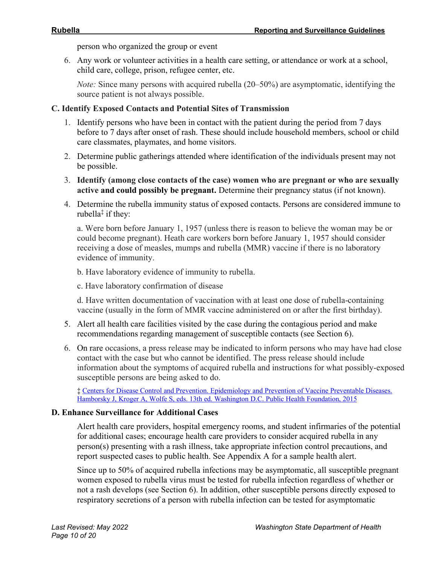person who organized the group or event

6. Any work or volunteer activities in a health care setting, or attendance or work at a school, child care, college, prison, refugee center, etc.

*Note:* Since many persons with acquired rubella (20–50%) are asymptomatic, identifying the source patient is not always possible.

#### **C. Identify Exposed Contacts and Potential Sites of Transmission**

- 1. Identify persons who have been in contact with the patient during the period from 7 days before to 7 days after onset of rash. These should include household members, school or child care classmates, playmates, and home visitors.
- 2. Determine public gatherings attended where identification of the individuals present may not be possible.
- 3. **Identify (among close contacts of the case) women who are pregnant or who are sexually active and could possibly be pregnant.** Determine their pregnancy status (if not known).
- 4. Determine the rubella immunity status of exposed contacts. Persons are considered immune to rubella $\ddagger$  if they:

a. Were born before January 1, 1957 (unless there is reason to believe the woman may be or could become pregnant). Heath care workers born before January 1, 1957 should consider receiving a dose of measles, mumps and rubella (MMR) vaccine if there is no laboratory evidence of immunity.

b. Have laboratory evidence of immunity to rubella.

c. Have laboratory confirmation of disease

d. Have written documentation of vaccination with at least one dose of rubella-containing vaccine (usually in the form of MMR vaccine administered on or after the first birthday).

- 5. Alert all health care facilities visited by the case during the contagious period and make recommendations regarding management of susceptible contacts (see Section 6).
- 6. On rare occasions, a press release may be indicated to inform persons who may have had close contact with the case but who cannot be identified. The press release should include information about the symptoms of acquired rubella and instructions for what possibly-exposed susceptible persons are being asked to do.

‡ [Centers for Disease Control and Prevention. Epidemiology and Prevention of Vaccine Preventable Diseases.](https://www.cdc.gov/vaccines/pubs/pinkbook/rubella.html)  [Hamborsky J, Kroger A, Wolfe S, eds. 13th ed. Washington D.C. Public Health Foundation, 2015](https://www.cdc.gov/vaccines/pubs/pinkbook/rubella.html)

#### **D. Enhance Surveillance for Additional Cases**

Alert health care providers, hospital emergency rooms, and student infirmaries of the potential for additional cases; encourage health care providers to consider acquired rubella in any person(s) presenting with a rash illness, take appropriate infection control precautions, and report suspected cases to public health. See Appendix A for a sample health alert.

Since up to 50% of acquired rubella infections may be asymptomatic, all susceptible pregnant women exposed to rubella virus must be tested for rubella infection regardless of whether or not a rash develops (see Section 6). In addition, other susceptible persons directly exposed to respiratory secretions of a person with rubella infection can be tested for asymptomatic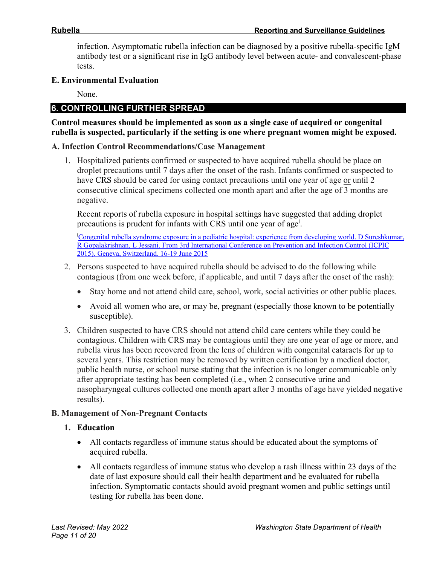infection. Asymptomatic rubella infection can be diagnosed by a positive rubella-specific IgM antibody test or a significant rise in IgG antibody level between acute- and convalescent-phase tests.

#### **E. Environmental Evaluation**

None.

## **6. CONTROLLING FURTHER SPREAD**

**Control measures should be implemented as soon as a single case of acquired or congenital rubella is suspected, particularly if the setting is one where pregnant women might be exposed.**

#### **A. Infection Control Recommendations/Case Management**

1. Hospitalized patients confirmed or suspected to have acquired rubella should be place on droplet precautions until 7 days after the onset of the rash. Infants confirmed or suspected to have CRS should be cared for using contact precautions until one year of age or until 2 consecutive clinical specimens collected one month apart and after the age of 3 months are negative.

Recent reports of rubella exposure in hospital settings have suggested that adding droplet precautions is prudent for infants with CRS until one year of age<sup>l</sup>.

Congenital rubella syndrome exposure in a pediatric hospital: experience from developing world. D Sureshkumar, [R Gopalakrishnan, L Jessani. From 3rd International Conference on Prevention and Infection Control \(ICPIC](https://www.ncbi.nlm.nih.gov/pmc/articles/PMC4475197/pdf/2047-2994-4-S1-P260.pdf)  [2015\). Geneva, Switzerland. 16-19 June 2015](https://www.ncbi.nlm.nih.gov/pmc/articles/PMC4475197/pdf/2047-2994-4-S1-P260.pdf)

- 2. Persons suspected to have acquired rubella should be advised to do the following while contagious (from one week before, if applicable, and until 7 days after the onset of the rash):
	- Stay home and not attend child care, school, work, social activities or other public places.
	- Avoid all women who are, or may be, pregnant (especially those known to be potentially susceptible).
- 3. Children suspected to have CRS should not attend child care centers while they could be contagious. Children with CRS may be contagious until they are one year of age or more, and rubella virus has been recovered from the lens of children with congenital cataracts for up to several years. This restriction may be removed by written certification by a medical doctor, public health nurse, or school nurse stating that the infection is no longer communicable only after appropriate testing has been completed (i.e., when 2 consecutive urine and nasopharyngeal cultures collected one month apart after 3 months of age have yielded negative results).

#### **B. Management of Non-Pregnant Contacts**

#### **1. Education**

- All contacts regardless of immune status should be educated about the symptoms of acquired rubella.
- All contacts regardless of immune status who develop a rash illness within 23 days of the date of last exposure should call their health department and be evaluated for rubella infection. Symptomatic contacts should avoid pregnant women and public settings until testing for rubella has been done.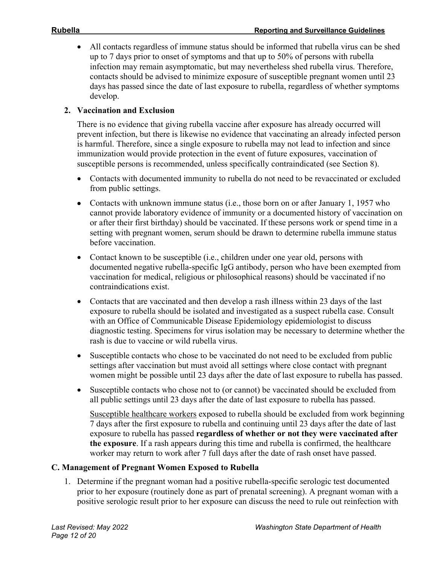• All contacts regardless of immune status should be informed that rubella virus can be shed up to 7 days prior to onset of symptoms and that up to 50% of persons with rubella infection may remain asymptomatic, but may nevertheless shed rubella virus. Therefore, contacts should be advised to minimize exposure of susceptible pregnant women until 23 days has passed since the date of last exposure to rubella, regardless of whether symptoms develop.

#### **2. Vaccination and Exclusion**

There is no evidence that giving rubella vaccine after exposure has already occurred will prevent infection, but there is likewise no evidence that vaccinating an already infected person is harmful. Therefore, since a single exposure to rubella may not lead to infection and since immunization would provide protection in the event of future exposures, vaccination of susceptible persons is recommended, unless specifically contraindicated (see Section 8).

- Contacts with documented immunity to rubella do not need to be revaccinated or excluded from public settings.
- Contacts with unknown immune status (i.e., those born on or after January 1, 1957 who cannot provide laboratory evidence of immunity or a documented history of vaccination on or after their first birthday) should be vaccinated. If these persons work or spend time in a setting with pregnant women, serum should be drawn to determine rubella immune status before vaccination.
- Contact known to be susceptible (i.e., children under one year old, persons with documented negative rubella-specific IgG antibody, person who have been exempted from vaccination for medical, religious or philosophical reasons) should be vaccinated if no contraindications exist.
- Contacts that are vaccinated and then develop a rash illness within 23 days of the last exposure to rubella should be isolated and investigated as a suspect rubella case. Consult with an Office of Communicable Disease Epidemiology epidemiologist to discuss diagnostic testing. Specimens for virus isolation may be necessary to determine whether the rash is due to vaccine or wild rubella virus.
- Susceptible contacts who chose to be vaccinated do not need to be excluded from public settings after vaccination but must avoid all settings where close contact with pregnant women might be possible until 23 days after the date of last exposure to rubella has passed.
- Susceptible contacts who chose not to (or cannot) be vaccinated should be excluded from all public settings until 23 days after the date of last exposure to rubella has passed.

Susceptible healthcare workers exposed to rubella should be excluded from work beginning 7 days after the first exposure to rubella and continuing until 23 days after the date of last exposure to rubella has passed **regardless of whether or not they were vaccinated after the exposure**. If a rash appears during this time and rubella is confirmed, the healthcare worker may return to work after 7 full days after the date of rash onset have passed.

#### **C. Management of Pregnant Women Exposed to Rubella**

1. Determine if the pregnant woman had a positive rubella-specific serologic test documented prior to her exposure (routinely done as part of prenatal screening). A pregnant woman with a positive serologic result prior to her exposure can discuss the need to rule out reinfection with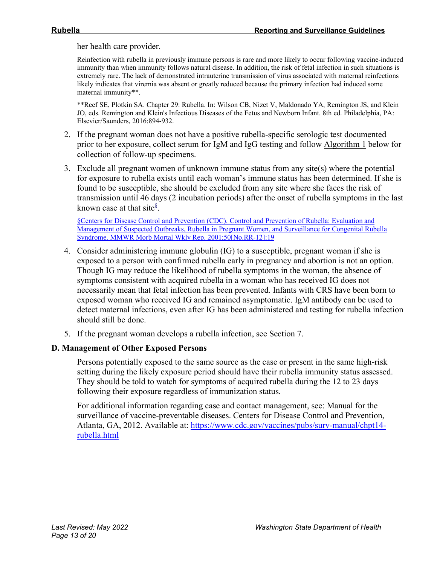her health care provider.

Reinfection with rubella in previously immune persons is rare and more likely to occur following vaccine-induced immunity than when immunity follows natural disease. In addition, the risk of fetal infection in such situations is extremely rare. The lack of demonstrated intrauterine transmission of virus associated with maternal reinfections likely indicates that viremia was absent or greatly reduced because the primary infection had induced some maternal immunity\*\*.

\*\*Reef SE, Plotkin SA. Chapter 29: Rubella. In: Wilson CB, Nizet V, Maldonado YA, Remington JS, and Klein JO, eds. Remington and Klein's Infectious Diseases of the Fetus and Newborn Infant. 8th ed. Philadelphia, PA: Elsevier/Saunders, 2016:894-932.

- 2. If the pregnant woman does not have a positive rubella-specific serologic test documented prior to her exposure, collect serum for IgM and IgG testing and follow Algorithm 1 below for collection of follow-up specimens.
- 3. Exclude all pregnant women of unknown immune status from any site(s) where the potential for exposure to rubella exists until each woman's immune status has been determined. If she is found to be susceptible, she should be excluded from any site where she faces the risk of transmission until 46 days (2 incubation periods) after the onset of rubella symptoms in the last known case at that site<sup>§</sup>.

[§Centers for Disease Control and Prevention \(CDC\). Control and Prevention of Rubella: Evaluation and](https://www.cdc.gov/mmwr/PDF/rr/rr5012.pdf)  [Management of Suspected Outbreaks, Rubella in Pregnant Women, and Surveillance for Congenital Rubella](https://www.cdc.gov/mmwr/PDF/rr/rr5012.pdf)  [Syndrome. MMWR Morb Mortal Wkly Rep. 2001;50\[No.RR-12\]:19](https://www.cdc.gov/mmwr/PDF/rr/rr5012.pdf)

- 4. Consider administering immune globulin (IG) to a susceptible, pregnant woman if she is exposed to a person with confirmed rubella early in pregnancy and abortion is not an option. Though IG may reduce the likelihood of rubella symptoms in the woman, the absence of symptoms consistent with acquired rubella in a woman who has received IG does not necessarily mean that fetal infection has been prevented. Infants with CRS have been born to exposed woman who received IG and remained asymptomatic. IgM antibody can be used to detect maternal infections, even after IG has been administered and testing for rubella infection should still be done.
- 5. If the pregnant woman develops a rubella infection, see Section 7.

#### **D. Management of Other Exposed Persons**

Persons potentially exposed to the same source as the case or present in the same high-risk setting during the likely exposure period should have their rubella immunity status assessed. They should be told to watch for symptoms of acquired rubella during the 12 to 23 days following their exposure regardless of immunization status.

For additional information regarding case and contact management, see: Manual for the surveillance of vaccine-preventable diseases. Centers for Disease Control and Prevention, Atlanta, GA, 2012. Available at: [https://www.cdc.gov/vaccines/pubs/surv-manual/chpt14](https://www.cdc.gov/vaccines/pubs/surv-manual/chpt14-rubella.html) [rubella.html](https://www.cdc.gov/vaccines/pubs/surv-manual/chpt14-rubella.html)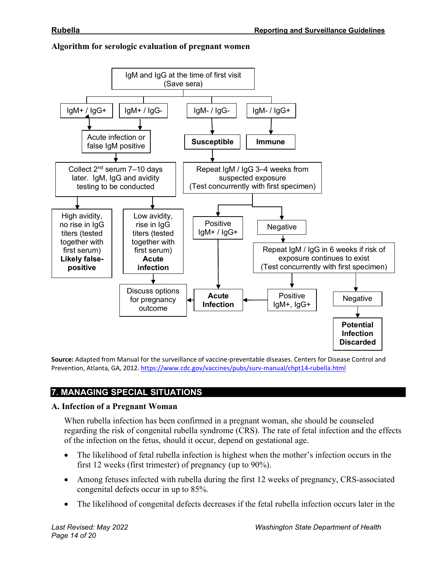

#### **Algorithm for serologic evaluation of pregnant women**

**Source:** Adapted from Manual for the surveillance of vaccine-preventable diseases. Centers for Disease Control and Prevention, Atlanta, GA, 2012. <https://www.cdc.gov/vaccines/pubs/surv-manual/chpt14-rubella.html>

# **7. MANAGING SPECIAL SITUATIONS**

## **A. Infection of a Pregnant Woman**

When rubella infection has been confirmed in a pregnant woman, she should be counseled regarding the risk of congenital rubella syndrome (CRS). The rate of fetal infection and the effects of the infection on the fetus, should it occur, depend on gestational age.

- The likelihood of fetal rubella infection is highest when the mother's infection occurs in the first 12 weeks (first trimester) of pregnancy (up to 90%).
- Among fetuses infected with rubella during the first 12 weeks of pregnancy, CRS-associated congenital defects occur in up to 85%.
- The likelihood of congenital defects decreases if the fetal rubella infection occurs later in the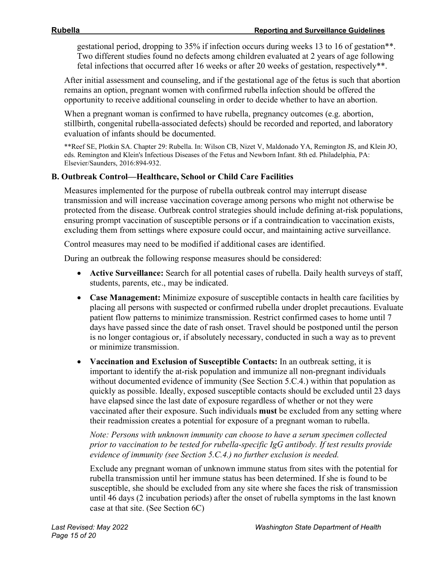gestational period, dropping to 35% if infection occurs during weeks 13 to 16 of gestation\*\*. Two different studies found no defects among children evaluated at 2 years of age following fetal infections that occurred after 16 weeks or after 20 weeks of gestation, respectively\*\*.

After initial assessment and counseling, and if the gestational age of the fetus is such that abortion remains an option, pregnant women with confirmed rubella infection should be offered the opportunity to receive additional counseling in order to decide whether to have an abortion.

When a pregnant woman is confirmed to have rubella, pregnancy outcomes (e.g. abortion, stillbirth, congenital rubella-associated defects) should be recorded and reported, and laboratory evaluation of infants should be documented.

\*\*Reef SE, Plotkin SA. Chapter 29: Rubella. In: Wilson CB, Nizet V, Maldonado YA, Remington JS, and Klein JO, eds. Remington and Klein's Infectious Diseases of the Fetus and Newborn Infant. 8th ed. Philadelphia, PA: Elsevier/Saunders, 2016:894-932.

#### **B. Outbreak Control—Healthcare, School or Child Care Facilities**

Measures implemented for the purpose of rubella outbreak control may interrupt disease transmission and will increase vaccination coverage among persons who might not otherwise be protected from the disease. Outbreak control strategies should include defining at-risk populations, ensuring prompt vaccination of susceptible persons or if a contraindication to vaccination exists, excluding them from settings where exposure could occur, and maintaining active surveillance.

Control measures may need to be modified if additional cases are identified.

During an outbreak the following response measures should be considered:

- **Active Surveillance:** Search for all potential cases of rubella. Daily health surveys of staff, students, parents, etc., may be indicated.
- **Case Management:** Minimize exposure of susceptible contacts in health care facilities by placing all persons with suspected or confirmed rubella under droplet precautions. Evaluate patient flow patterns to minimize transmission. Restrict confirmed cases to home until 7 days have passed since the date of rash onset. Travel should be postponed until the person is no longer contagious or, if absolutely necessary, conducted in such a way as to prevent or minimize transmission.
- **Vaccination and Exclusion of Susceptible Contacts:** In an outbreak setting, it is important to identify the at-risk population and immunize all non-pregnant individuals without documented evidence of immunity (See Section 5.C.4.) within that population as quickly as possible. Ideally, exposed susceptible contacts should be excluded until 23 days have elapsed since the last date of exposure regardless of whether or not they were vaccinated after their exposure. Such individuals **must** be excluded from any setting where their readmission creates a potential for exposure of a pregnant woman to rubella.

*Note: Persons with unknown immunity can choose to have a serum specimen collected prior to vaccination to be tested for rubella-specific IgG antibody. If test results provide evidence of immunity (see Section 5.C.4.) no further exclusion is needed.*

Exclude any pregnant woman of unknown immune status from sites with the potential for rubella transmission until her immune status has been determined. If she is found to be susceptible, she should be excluded from any site where she faces the risk of transmission until 46 days (2 incubation periods) after the onset of rubella symptoms in the last known case at that site. (See Section 6C)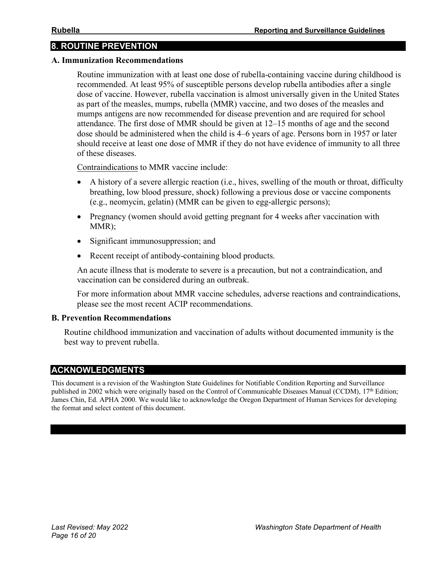## **8. ROUTINE PREVENTION**

#### **A. Immunization Recommendations**

Routine immunization with at least one dose of rubella-containing vaccine during childhood is recommended. At least 95% of susceptible persons develop rubella antibodies after a single dose of vaccine. However, rubella vaccination is almost universally given in the United States as part of the measles, mumps, rubella (MMR) vaccine, and two doses of the measles and mumps antigens are now recommended for disease prevention and are required for school attendance. The first dose of MMR should be given at 12–15 months of age and the second dose should be administered when the child is 4–6 years of age. Persons born in 1957 or later should receive at least one dose of MMR if they do not have evidence of immunity to all three of these diseases.

Contraindications to MMR vaccine include:

- A history of a severe allergic reaction (i.e., hives, swelling of the mouth or throat, difficulty breathing, low blood pressure, shock) following a previous dose or vaccine components (e.g., neomycin, gelatin) (MMR can be given to egg-allergic persons);
- Pregnancy (women should avoid getting pregnant for 4 weeks after vaccination with MMR);
- Significant immunosuppression; and
- Recent receipt of antibody-containing blood products.

An acute illness that is moderate to severe is a precaution, but not a contraindication, and vaccination can be considered during an outbreak.

For more information about MMR vaccine schedules, adverse reactions and contraindications, please see the most recent ACIP recommendations.

#### **B. Prevention Recommendations**

Routine childhood immunization and vaccination of adults without documented immunity is the best way to prevent rubella.

#### **ACKNOWLEDGMENTS**

This document is a revision of the Washington State Guidelines for Notifiable Condition Reporting and Surveillance published in 2002 which were originally based on the Control of Communicable Diseases Manual (CCDM), 17<sup>th</sup> Edition; James Chin, Ed. APHA 2000. We would like to acknowledge the Oregon Department of Human Services for developing the format and select content of this document.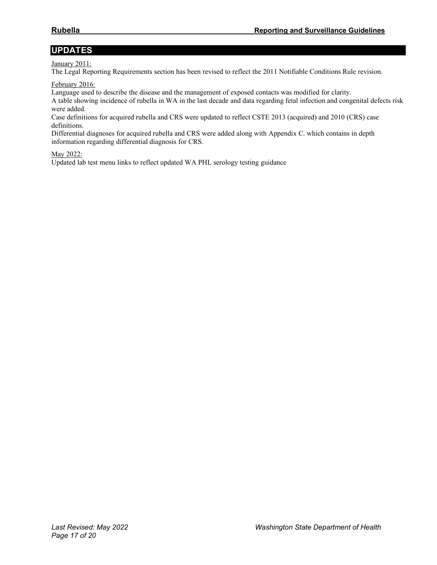# **UPDATES**

#### January 2011:

The Legal Reporting Requirements section has been revised to reflect the 2011 Notifiable Conditions Rule revision.

#### February 2016:

Language used to describe the disease and the management of exposed contacts was modified for clarity.

A table showing incidence of rubella in WA in the last decade and data regarding fetal infection and congenital defects risk were added.

Case definitions for acquired rubella and CRS were updated to reflect CSTE 2013 (acquired) and 2010 (CRS) case definitions.

Differential diagnoses for acquired rubella and CRS were added along with Appendix C. which contains in depth information regarding differential diagnosis for CRS.

#### May 2022:

Updated lab test menu links to reflect updated WA PHL serology testing guidance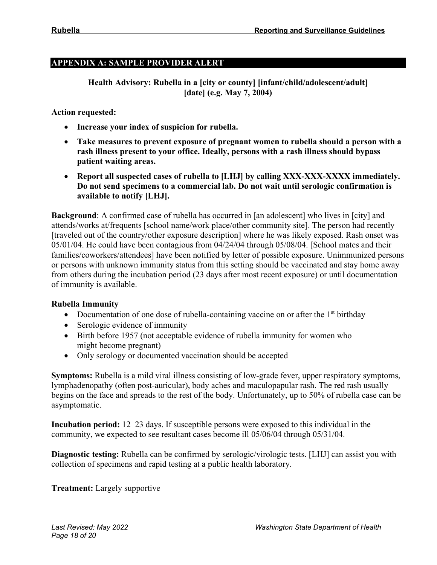#### **APPENDIX A: SAMPLE PROVIDER ALERT**

**Health Advisory: Rubella in a [city or county] [infant/child/adolescent/adult] [date] (e.g. May 7, 2004)** 

**Action requested:**

- **Increase your index of suspicion for rubella.**
- **Take measures to prevent exposure of pregnant women to rubella should a person with a rash illness present to your office. Ideally, persons with a rash illness should bypass patient waiting areas.**
- **Report all suspected cases of rubella to [LHJ] by calling XXX-XXX-XXXX immediately. Do not send specimens to a commercial lab. Do not wait until serologic confirmation is available to notify [LHJ].**

**Background**: A confirmed case of rubella has occurred in [an adolescent] who lives in [city] and attends/works at/frequents [school name/work place/other community site]. The person had recently [traveled out of the country/other exposure description] where he was likely exposed. Rash onset was 05/01/04. He could have been contagious from 04/24/04 through 05/08/04. [School mates and their families/coworkers/attendees] have been notified by letter of possible exposure. Unimmunized persons or persons with unknown immunity status from this setting should be vaccinated and stay home away from others during the incubation period (23 days after most recent exposure) or until documentation of immunity is available.

#### **Rubella Immunity**

- Documentation of one dose of rubella-containing vaccine on or after the  $1<sup>st</sup>$  birthday
- Serologic evidence of immunity
- Birth before 1957 (not acceptable evidence of rubella immunity for women who might become pregnant)
- Only serology or documented vaccination should be accepted

**Symptoms:** Rubella is a mild viral illness consisting of low-grade fever, upper respiratory symptoms, lymphadenopathy (often post-auricular), body aches and maculopapular rash. The red rash usually begins on the face and spreads to the rest of the body. Unfortunately, up to 50% of rubella case can be asymptomatic.

**Incubation period:** 12–23 days. If susceptible persons were exposed to this individual in the community, we expected to see resultant cases become ill 05/06/04 through 05/31/04.

**Diagnostic testing:** Rubella can be confirmed by serologic/virologic tests. [LHJ] can assist you with collection of specimens and rapid testing at a public health laboratory.

**Treatment:** Largely supportive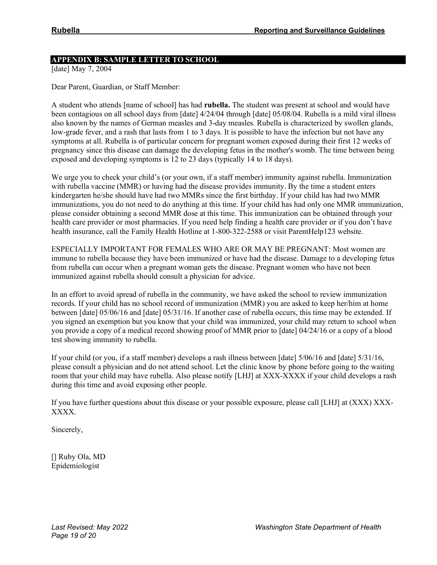#### **APPENDIX B: SAMPLE LETTER TO SCHOOL**

[date] May 7, 2004

Dear Parent, Guardian, or Staff Member:

A student who attends [name of school] has had **rubella.** The student was present at school and would have been contagious on all school days from [date] 4/24/04 through [date] 05/08/04. Rubella is a mild viral illness also known by the names of German measles and 3-day measles. Rubella is characterized by swollen glands, low-grade fever, and a rash that lasts from 1 to 3 days. It is possible to have the infection but not have any symptoms at all. Rubella is of particular concern for pregnant women exposed during their first 12 weeks of pregnancy since this disease can damage the developing fetus in the mother's womb. The time between being exposed and developing symptoms is 12 to 23 days (typically 14 to 18 days).

We urge you to check your child's (or your own, if a staff member) immunity against rubella. Immunization with rubella vaccine (MMR) or having had the disease provides immunity. By the time a student enters kindergarten he/she should have had two MMRs since the first birthday. If your child has had two MMR immunizations, you do not need to do anything at this time. If your child has had only one MMR immunization, please consider obtaining a second MMR dose at this time. This immunization can be obtained through your health care provider or most pharmacies. If you need help finding a health care provider or if you don't have health insurance, call the Family Health Hotline at 1-800-322-2588 or visit ParentHelp123 website.

ESPECIALLY IMPORTANT FOR FEMALES WHO ARE OR MAY BE PREGNANT: Most women are immune to rubella because they have been immunized or have had the disease. Damage to a developing fetus from rubella can occur when a pregnant woman gets the disease. Pregnant women who have not been immunized against rubella should consult a physician for advice.

In an effort to avoid spread of rubella in the community, we have asked the school to review immunization records. If your child has no school record of immunization (MMR) you are asked to keep her/him at home between [date] 05/06/16 and [date] 05/31/16. If another case of rubella occurs, this time may be extended. If you signed an exemption but you know that your child was immunized, your child may return to school when you provide a copy of a medical record showing proof of MMR prior to [date] 04/24/16 or a copy of a blood test showing immunity to rubella.

If your child (or you, if a staff member) develops a rash illness between [date] 5/06/16 and [date] 5/31/16, please consult a physician and do not attend school. Let the clinic know by phone before going to the waiting room that your child may have rubella. Also please notify [LHJ] at XXX-XXXX if your child develops a rash during this time and avoid exposing other people.

If you have further questions about this disease or your possible exposure, please call [LHJ] at (XXX) XXX-XXXX.

Sincerely,

[] Ruby Ola, MD Epidemiologist